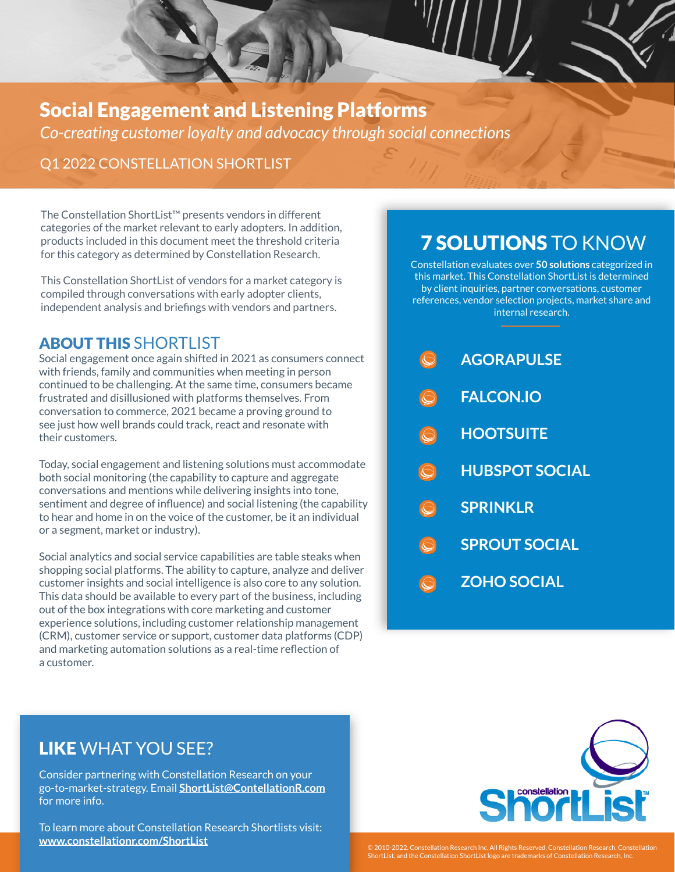## Social Engagement and Listening Platforms

*Co-creating customer loyalty and advocacy through social connections*

#### Q1 2022 CONSTELLATION SHORTLIST

The Constellation ShortList™ presents vendors in different categories of the market relevant to early adopters. In addition, products included in this document meet the threshold criteria for this category as determined by Constellation Research.

This Constellation ShortList of vendors for a market category is compiled through conversations with early adopter clients, independent analysis and briefings with vendors and partners.

#### ABOUT THIS SHORTLIST

Social engagement once again shifted in 2021 as consumers connect with friends, family and communities when meeting in person continued to be challenging. At the same time, consumers became frustrated and disillusioned with platforms themselves. From conversation to commerce, 2021 became a proving ground to see just how well brands could track, react and resonate with their customers.

Today, social engagement and listening solutions must accommodate both social monitoring (the capability to capture and aggregate conversations and mentions while delivering insights into tone, sentiment and degree of influence) and social listening (the capability to hear and home in on the voice of the customer, be it an individual or a segment, market or industry).

Social analytics and social service capabilities are table steaks when shopping social platforms. The ability to capture, analyze and deliver customer insights and social intelligence is also core to any solution. This data should be available to every part of the business, including out of the box integrations with core marketing and customer experience solutions, including customer relationship management (CRM), customer service or support, customer data platforms (CDP) and marketing automation solutions as a real-time reflection of a customer.

# 7 SOLUTIONS TO KNOW

Constellation evaluates over **50 solutions** categorized in this market. This Constellation ShortList is determined by client inquiries, partner conversations, customer references, vendor selection projects, market share and internal research.

| <b>AGORAPULSE</b> |
|-------------------|
|                   |

- **FALCON.IO**
- **HOOTSUITE**
- **HUBSPOT SOCIAL**
- **SPRINKLR**
- **SPROUT SOCIAL**
	- **ZOHO SOCIAL**

### LIKE WHAT YOU SEE?

Consider partnering with Constellation Research on your go-to-market-strategy. Email **[ShortList@ContellationR.com](mailto:ShortList@ContellationR.com)** for more info.

To learn more about Constellation Research Shortlists visit: **[www.constellationr.com/ShortList](http://www.constellationr.com/ShortList)**